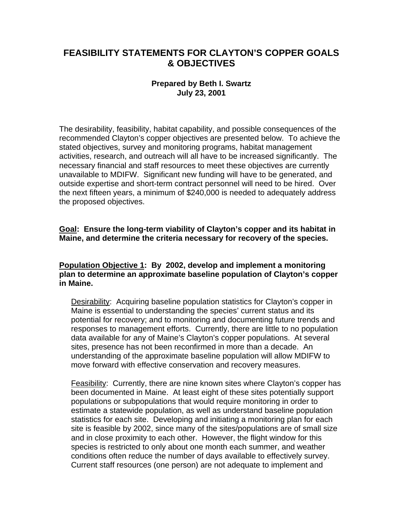# **FEASIBILITY STATEMENTS FOR CLAYTON'S COPPER GOALS & OBJECTIVES**

## **Prepared by Beth I. Swartz July 23, 2001**

The desirability, feasibility, habitat capability, and possible consequences of the recommended Clayton's copper objectives are presented below. To achieve the stated objectives, survey and monitoring programs, habitat management activities, research, and outreach will all have to be increased significantly. The necessary financial and staff resources to meet these objectives are currently unavailable to MDIFW. Significant new funding will have to be generated, and outside expertise and short-term contract personnel will need to be hired. Over the next fifteen years, a minimum of \$240,000 is needed to adequately address the proposed objectives.

#### **Goal: Ensure the long-term viability of Clayton's copper and its habitat in Maine, and determine the criteria necessary for recovery of the species.**

#### **Population Objective 1: By 2002, develop and implement a monitoring plan to determine an approximate baseline population of Clayton's copper in Maine.**

Desirability: Acquiring baseline population statistics for Clayton's copper in Maine is essential to understanding the species' current status and its potential for recovery; and to monitoring and documenting future trends and responses to management efforts. Currently, there are little to no population data available for any of Maine's Clayton's copper populations. At several sites, presence has not been reconfirmed in more than a decade. An understanding of the approximate baseline population will allow MDIFW to move forward with effective conservation and recovery measures.

Feasibility: Currently, there are nine known sites where Clayton's copper has been documented in Maine. At least eight of these sites potentially support populations or subpopulations that would require monitoring in order to estimate a statewide population, as well as understand baseline population statistics for each site. Developing and initiating a monitoring plan for each site is feasible by 2002, since many of the sites/populations are of small size and in close proximity to each other. However, the flight window for this species is restricted to only about one month each summer, and weather conditions often reduce the number of days available to effectively survey. Current staff resources (one person) are not adequate to implement and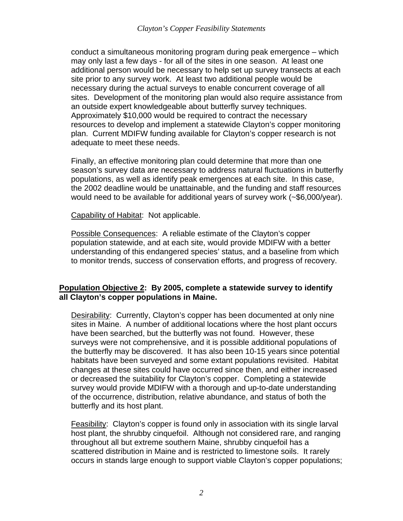conduct a simultaneous monitoring program during peak emergence – which may only last a few days - for all of the sites in one season. At least one additional person would be necessary to help set up survey transects at each site prior to any survey work. At least two additional people would be necessary during the actual surveys to enable concurrent coverage of all sites. Development of the monitoring plan would also require assistance from an outside expert knowledgeable about butterfly survey techniques. Approximately \$10,000 would be required to contract the necessary resources to develop and implement a statewide Clayton's copper monitoring plan. Current MDIFW funding available for Clayton's copper research is not adequate to meet these needs.

Finally, an effective monitoring plan could determine that more than one season's survey data are necessary to address natural fluctuations in butterfly populations, as well as identify peak emergences at each site. In this case, the 2002 deadline would be unattainable, and the funding and staff resources would need to be available for additional years of survey work (~\$6,000/year).

Capability of Habitat: Not applicable.

Possible Consequences: A reliable estimate of the Clayton's copper population statewide, and at each site, would provide MDIFW with a better understanding of this endangered species' status, and a baseline from which to monitor trends, success of conservation efforts, and progress of recovery.

## **Population Objective 2: By 2005, complete a statewide survey to identify all Clayton's copper populations in Maine.**

Desirability: Currently, Clayton's copper has been documented at only nine sites in Maine. A number of additional locations where the host plant occurs have been searched, but the butterfly was not found. However, these surveys were not comprehensive, and it is possible additional populations of the butterfly may be discovered. It has also been 10-15 years since potential habitats have been surveyed and some extant populations revisited. Habitat changes at these sites could have occurred since then, and either increased or decreased the suitability for Clayton's copper. Completing a statewide survey would provide MDIFW with a thorough and up-to-date understanding of the occurrence, distribution, relative abundance, and status of both the butterfly and its host plant.

Feasibility: Clayton's copper is found only in association with its single larval host plant, the shrubby cinquefoil. Although not considered rare, and ranging throughout all but extreme southern Maine, shrubby cinquefoil has a scattered distribution in Maine and is restricted to limestone soils. It rarely occurs in stands large enough to support viable Clayton's copper populations;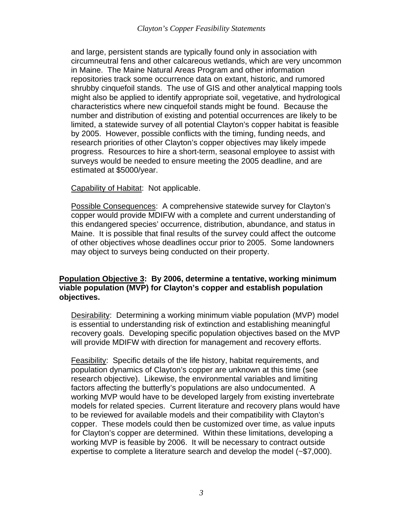and large, persistent stands are typically found only in association with circumneutral fens and other calcareous wetlands, which are very uncommon in Maine. The Maine Natural Areas Program and other information repositories track some occurrence data on extant, historic, and rumored shrubby cinquefoil stands. The use of GIS and other analytical mapping tools might also be applied to identify appropriate soil, vegetative, and hydrological characteristics where new cinquefoil stands might be found. Because the number and distribution of existing and potential occurrences are likely to be limited, a statewide survey of all potential Clayton's copper habitat is feasible by 2005. However, possible conflicts with the timing, funding needs, and research priorities of other Clayton's copper objectives may likely impede progress. Resources to hire a short-term, seasonal employee to assist with surveys would be needed to ensure meeting the 2005 deadline, and are estimated at \$5000/year.

Capability of Habitat: Not applicable.

Possible Consequences: A comprehensive statewide survey for Clayton's copper would provide MDIFW with a complete and current understanding of this endangered species' occurrence, distribution, abundance, and status in Maine. It is possible that final results of the survey could affect the outcome of other objectives whose deadlines occur prior to 2005. Some landowners may object to surveys being conducted on their property.

#### **Population Objective 3: By 2006, determine a tentative, working minimum viable population (MVP) for Clayton's copper and establish population objectives.**

Desirability: Determining a working minimum viable population (MVP) model is essential to understanding risk of extinction and establishing meaningful recovery goals. Developing specific population objectives based on the MVP will provide MDIFW with direction for management and recovery efforts.

Feasibility: Specific details of the life history, habitat requirements, and population dynamics of Clayton's copper are unknown at this time (see research objective). Likewise, the environmental variables and limiting factors affecting the butterfly's populations are also undocumented. A working MVP would have to be developed largely from existing invertebrate models for related species. Current literature and recovery plans would have to be reviewed for available models and their compatibility with Clayton's copper. These models could then be customized over time, as value inputs for Clayton's copper are determined. Within these limitations, developing a working MVP is feasible by 2006. It will be necessary to contract outside expertise to complete a literature search and develop the model (~\$7,000).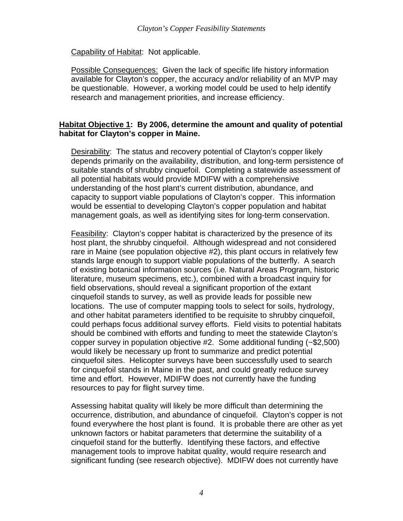Capability of Habitat: Not applicable.

Possible Consequences: Given the lack of specific life history information available for Clayton's copper, the accuracy and/or reliability of an MVP may be questionable. However, a working model could be used to help identify research and management priorities, and increase efficiency.

## **Habitat Objective 1: By 2006, determine the amount and quality of potential habitat for Clayton's copper in Maine.**

Desirability: The status and recovery potential of Clayton's copper likely depends primarily on the availability, distribution, and long-term persistence of suitable stands of shrubby cinquefoil. Completing a statewide assessment of all potential habitats would provide MDIFW with a comprehensive understanding of the host plant's current distribution, abundance, and capacity to support viable populations of Clayton's copper. This information would be essential to developing Clayton's copper population and habitat management goals, as well as identifying sites for long-term conservation.

Feasibility: Clayton's copper habitat is characterized by the presence of its host plant, the shrubby cinquefoil. Although widespread and not considered rare in Maine (see population objective #2), this plant occurs in relatively few stands large enough to support viable populations of the butterfly. A search of existing botanical information sources (i.e. Natural Areas Program, historic literature, museum specimens, etc.), combined with a broadcast inquiry for field observations, should reveal a significant proportion of the extant cinquefoil stands to survey, as well as provide leads for possible new locations. The use of computer mapping tools to select for soils, hydrology, and other habitat parameters identified to be requisite to shrubby cinquefoil, could perhaps focus additional survey efforts. Field visits to potential habitats should be combined with efforts and funding to meet the statewide Clayton's copper survey in population objective #2. Some additional funding (~\$2,500) would likely be necessary up front to summarize and predict potential cinquefoil sites. Helicopter surveys have been successfully used to search for cinquefoil stands in Maine in the past, and could greatly reduce survey time and effort. However, MDIFW does not currently have the funding resources to pay for flight survey time.

Assessing habitat quality will likely be more difficult than determining the occurrence, distribution, and abundance of cinquefoil. Clayton's copper is not found everywhere the host plant is found. It is probable there are other as yet unknown factors or habitat parameters that determine the suitability of a cinquefoil stand for the butterfly. Identifying these factors, and effective management tools to improve habitat quality, would require research and significant funding (see research objective). MDIFW does not currently have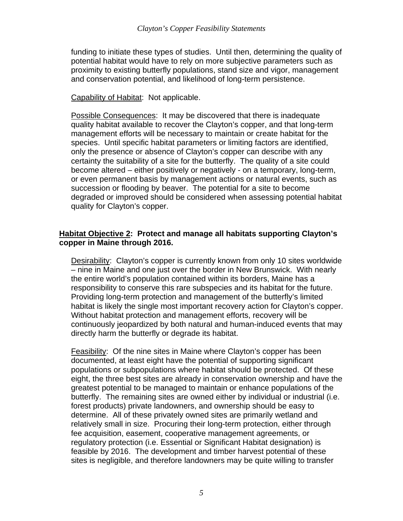funding to initiate these types of studies. Until then, determining the quality of potential habitat would have to rely on more subjective parameters such as proximity to existing butterfly populations, stand size and vigor, management and conservation potential, and likelihood of long-term persistence.

#### Capability of Habitat: Not applicable.

Possible Consequences: It may be discovered that there is inadequate quality habitat available to recover the Clayton's copper, and that long-term management efforts will be necessary to maintain or create habitat for the species. Until specific habitat parameters or limiting factors are identified, only the presence or absence of Clayton's copper can describe with any certainty the suitability of a site for the butterfly. The quality of a site could become altered – either positively or negatively - on a temporary, long-term, or even permanent basis by management actions or natural events, such as succession or flooding by beaver. The potential for a site to become degraded or improved should be considered when assessing potential habitat quality for Clayton's copper.

#### **Habitat Objective 2: Protect and manage all habitats supporting Clayton's copper in Maine through 2016.**

Desirability: Clayton's copper is currently known from only 10 sites worldwide – nine in Maine and one just over the border in New Brunswick. With nearly the entire world's population contained within its borders, Maine has a responsibility to conserve this rare subspecies and its habitat for the future. Providing long-term protection and management of the butterfly's limited habitat is likely the single most important recovery action for Clayton's copper. Without habitat protection and management efforts, recovery will be continuously jeopardized by both natural and human-induced events that may directly harm the butterfly or degrade its habitat.

Feasibility: Of the nine sites in Maine where Clayton's copper has been documented, at least eight have the potential of supporting significant populations or subpopulations where habitat should be protected. Of these eight, the three best sites are already in conservation ownership and have the greatest potential to be managed to maintain or enhance populations of the butterfly. The remaining sites are owned either by individual or industrial (i.e. forest products) private landowners, and ownership should be easy to determine. All of these privately owned sites are primarily wetland and relatively small in size. Procuring their long-term protection, either through fee acquisition, easement, cooperative management agreements, or regulatory protection (i.e. Essential or Significant Habitat designation) is feasible by 2016. The development and timber harvest potential of these sites is negligible, and therefore landowners may be quite willing to transfer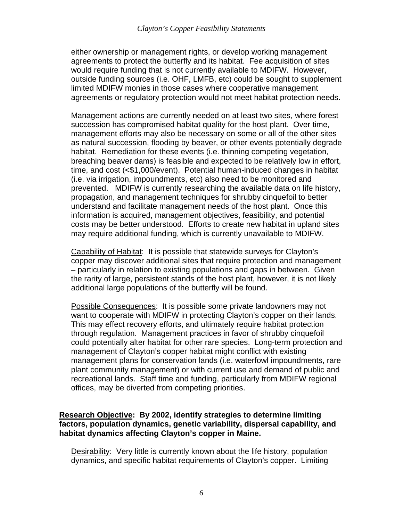either ownership or management rights, or develop working management agreements to protect the butterfly and its habitat. Fee acquisition of sites would require funding that is not currently available to MDIFW. However, outside funding sources (i.e. OHF, LMFB, etc) could be sought to supplement limited MDIFW monies in those cases where cooperative management agreements or regulatory protection would not meet habitat protection needs.

Management actions are currently needed on at least two sites, where forest succession has compromised habitat quality for the host plant. Over time, management efforts may also be necessary on some or all of the other sites as natural succession, flooding by beaver, or other events potentially degrade habitat. Remediation for these events (i.e. thinning competing vegetation, breaching beaver dams) is feasible and expected to be relatively low in effort, time, and cost (<\$1,000/event). Potential human-induced changes in habitat (i.e. via irrigation, impoundments, etc) also need to be monitored and prevented. MDIFW is currently researching the available data on life history, propagation, and management techniques for shrubby cinquefoil to better understand and facilitate management needs of the host plant. Once this information is acquired, management objectives, feasibility, and potential costs may be better understood. Efforts to create new habitat in upland sites may require additional funding, which is currently unavailable to MDIFW.

Capability of Habitat: It is possible that statewide surveys for Clayton's copper may discover additional sites that require protection and management – particularly in relation to existing populations and gaps in between. Given the rarity of large, persistent stands of the host plant, however, it is not likely additional large populations of the butterfly will be found.

Possible Consequences: It is possible some private landowners may not want to cooperate with MDIFW in protecting Clayton's copper on their lands. This may effect recovery efforts, and ultimately require habitat protection through regulation. Management practices in favor of shrubby cinquefoil could potentially alter habitat for other rare species. Long-term protection and management of Clayton's copper habitat might conflict with existing management plans for conservation lands (i.e. waterfowl impoundments, rare plant community management) or with current use and demand of public and recreational lands. Staff time and funding, particularly from MDIFW regional offices, may be diverted from competing priorities.

#### **Research Objective: By 2002, identify strategies to determine limiting factors, population dynamics, genetic variability, dispersal capability, and habitat dynamics affecting Clayton's copper in Maine.**

Desirability: Very little is currently known about the life history, population dynamics, and specific habitat requirements of Clayton's copper. Limiting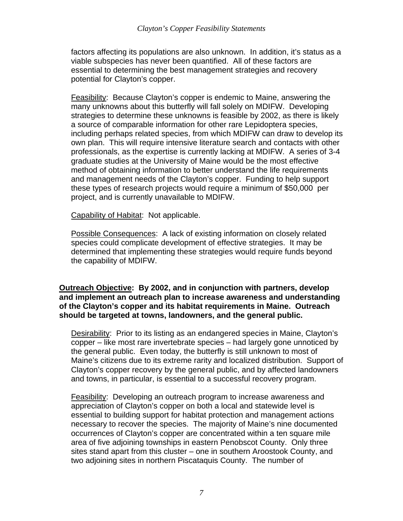factors affecting its populations are also unknown. In addition, it's status as a viable subspecies has never been quantified. All of these factors are essential to determining the best management strategies and recovery potential for Clayton's copper.

Feasibility: Because Clayton's copper is endemic to Maine, answering the many unknowns about this butterfly will fall solely on MDIFW. Developing strategies to determine these unknowns is feasible by 2002, as there is likely a source of comparable information for other rare Lepidoptera species, including perhaps related species, from which MDIFW can draw to develop its own plan. This will require intensive literature search and contacts with other professionals, as the expertise is currently lacking at MDIFW. A series of 3-4 graduate studies at the University of Maine would be the most effective method of obtaining information to better understand the life requirements and management needs of the Clayton's copper. Funding to help support these types of research projects would require a minimum of \$50,000 per project, and is currently unavailable to MDIFW.

Capability of Habitat: Not applicable.

Possible Consequences: A lack of existing information on closely related species could complicate development of effective strategies. It may be determined that implementing these strategies would require funds beyond the capability of MDIFW.

**Outreach Objective: By 2002, and in conjunction with partners, develop and implement an outreach plan to increase awareness and understanding of the Clayton's copper and its habitat requirements in Maine. Outreach should be targeted at towns, landowners, and the general public.** 

Desirability: Prior to its listing as an endangered species in Maine, Clayton's copper – like most rare invertebrate species – had largely gone unnoticed by the general public. Even today, the butterfly is still unknown to most of Maine's citizens due to its extreme rarity and localized distribution. Support of Clayton's copper recovery by the general public, and by affected landowners and towns, in particular, is essential to a successful recovery program.

Feasibility: Developing an outreach program to increase awareness and appreciation of Clayton's copper on both a local and statewide level is essential to building support for habitat protection and management actions necessary to recover the species. The majority of Maine's nine documented occurrences of Clayton's copper are concentrated within a ten square mile area of five adjoining townships in eastern Penobscot County. Only three sites stand apart from this cluster – one in southern Aroostook County, and two adjoining sites in northern Piscataquis County. The number of